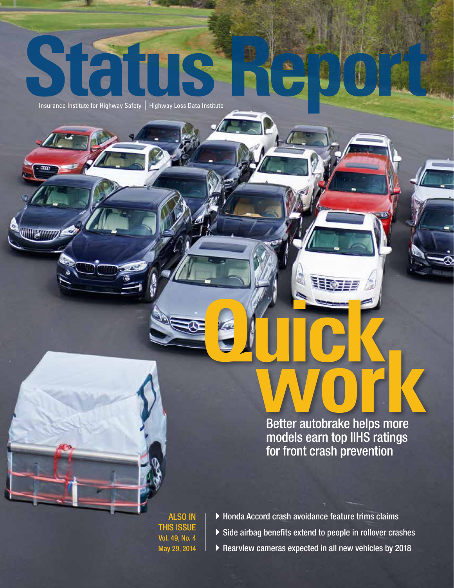Insurance Institute for Highway Safety | Highway Loss Data Institute

**ISK FFFFF** 

# **EXPLOSED SERVER THE REAL PROPERTY AND THE REAL PROPERTY.** Better autobrake helps more models earn top IIHS ratings for front crash prevention

ees a

ALSO IN THIS ISSUE Vol. 49, No. 4 May 29, 2014

- $\blacktriangleright$  Honda Accord crash avoidance feature trims claims  $\triangleright$  Side airbag benefits extend to people in rollover crashes
- ▶ Rearview cameras expected in all new vehicles by 2018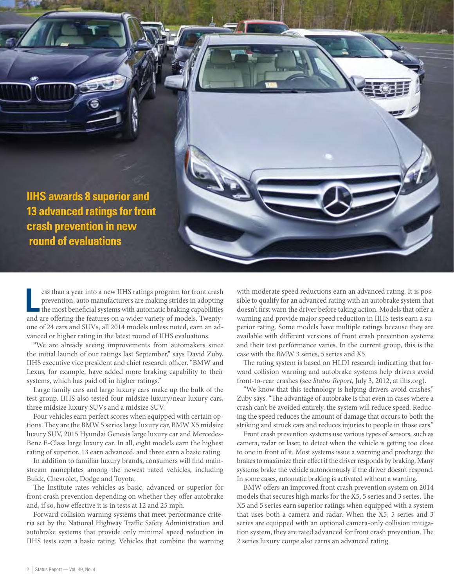

ess than a year into a new IIHS ratings program for front crash prevention, auto manufacturers are making strides in adopting the most beneficial systems with automatic braking capabilities and are offering the features on ess than a year into a new IIHS ratings program for front crash prevention, auto manufacturers are making strides in adopting the most beneficial systems with automatic braking capabilities one of 24 cars and SUVs, all 2014 models unless noted, earn an advanced or higher rating in the latest round of IIHS evaluations.

"We are already seeing improvements from automakers since the initial launch of our ratings last September," says David Zuby, IIHS executive vice president and chief research officer. "BMW and Lexus, for example, have added more braking capability to their systems, which has paid off in higher ratings."

Large family cars and large luxury cars make up the bulk of the test group. IIHS also tested four midsize luxury/near luxury cars, three midsize luxury SUVs and a midsize SUV.

Four vehicles earn perfect scores when equipped with certain options. They are the BMW 5 series large luxury car, BMW X5 midsize luxury SUV, 2015 Hyundai Genesis large luxury car and Mercedes-Benz E-Class large luxury car. In all, eight models earn the highest rating of superior, 13 earn advanced, and three earn a basic rating.

In addition to familiar luxury brands, consumers will find mainstream nameplates among the newest rated vehicles, including Buick, Chevrolet, Dodge and Toyota.

The Institute rates vehicles as basic, advanced or superior for front crash prevention depending on whether they offer autobrake and, if so, how effective it is in tests at 12 and 25 mph.

Forward collision warning systems that meet performance criteria set by the National Highway Traffic Safety Administration and autobrake systems that provide only minimal speed reduction in IIHS tests earn a basic rating. Vehicles that combine the warning

with moderate speed reductions earn an advanced rating. It is possible to qualify for an advanced rating with an autobrake system that doesn't first warn the driver before taking action. Models that offer a warning and provide major speed reduction in IIHS tests earn a superior rating. Some models have multiple ratings because they are available with different versions of front crash prevention systems and their test performance varies. In the current group, this is the case with the BMW 3 series, 5 series and X5.

The rating system is based on HLDI research indicating that forward collision warning and autobrake systems help drivers avoid front-to-rear crashes (see *Status Report*, July 3, 2012, at iihs.org).

"We know that this technology is helping drivers avoid crashes," Zuby says. "The advantage of autobrake is that even in cases where a crash can't be avoided entirely, the system will reduce speed. Reducing the speed reduces the amount of damage that occurs to both the striking and struck cars and reduces injuries to people in those cars."

Front crash prevention systems use various types of sensors, such as camera, radar or laser, to detect when the vehicle is getting too close to one in front of it. Most systems issue a warning and precharge the brakes to maximize their effect if the driver responds by braking. Many systems brake the vehicle autonomously if the driver doesn't respond. In some cases, automatic braking is activated without a warning.

BMW offers an improved front crash prevention system on 2014 models that secures high marks for the X5, 5 series and 3 series. The X5 and 5 series earn superior ratings when equipped with a system that uses both a camera and radar. When the X5, 5 series and 3 series are equipped with an optional camera-only collision mitigation system, they are rated advanced for front crash prevention. The 2 series luxury coupe also earns an advanced rating.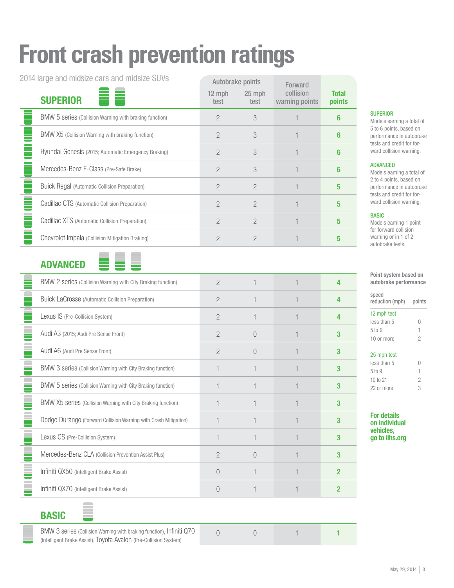# **Front crash prevention ratings**

2014 large and midsize cars and midsize SUVs

| 2014 large and midsize cars and midsize SUVs |                                                        | Autobrake points |                | Forward                     |                        |
|----------------------------------------------|--------------------------------------------------------|------------------|----------------|-----------------------------|------------------------|
|                                              | <b>SUPERIOR</b>                                        | 12 mph<br>test   | 25 mph<br>test | collision<br>warning points | <b>Total</b><br>points |
|                                              | BMW 5 series (Collision Warning with braking function) |                  | 3              |                             |                        |
|                                              | BMW X5 (Collision Warning with braking function)       | 2                | 3              |                             | հ                      |
|                                              | Hyundai Genesis (2015; Automatic Emergency Braking)    | 2                | 3              |                             | R                      |
|                                              | Mercedes-Benz E-Class (Pre-Safe Brake)                 | 2                | 3              |                             | հ                      |
|                                              | <b>Buick Regal (Automatic Collision Preparation)</b>   | 2                | $\mathcal{P}$  |                             | 5                      |
|                                              | Cadillac CTS (Automatic Collision Preparation)         | 2                | 2              |                             | 5                      |
|                                              | Cadillac XTS (Automatic Collision Preparation)         | $\mathcal{P}$    | $\mathcal{P}$  |                             | 5                      |
|                                              | Chevrolet Impala (Collision Mitigation Braking)        |                  |                |                             |                        |

#### ADVANCED



| BMW 2 series (Collision Warning with City Braking function)     | 2              |           |   |
|-----------------------------------------------------------------|----------------|-----------|---|
| Buick LaCrosse (Automatic Collision Preparation)                | $\overline{2}$ |           |   |
| Lexus IS (Pre-Collision System)                                 | 2              |           |   |
| Audi A3 (2015; Audi Pre Sense Front)                            | $\mathcal{P}$  | $\bigcap$ |   |
| Audi A6 (Audi Pre Sense Front)                                  | $\overline{2}$ | $\bigcap$ |   |
| BMW 3 series (Collision Warning with City Braking function)     |                |           | 3 |
| BMW 5 series (Collision Warning with City Braking function)     |                |           |   |
| BMW X5 series (Collision Warning with City Braking function)    |                |           |   |
| Dodge Durango (Forward Collision Warning with Crash Mitigation) |                |           |   |
| Lexus GS (Pre-Collision System)                                 |                |           |   |
| Mercedes-Benz CLA (Collision Prevention Assist Plus)            | $\mathcal{P}$  | $\bigcap$ |   |
| Infiniti QX50 (Intelligent Brake Assist)                        | $\bigcap$      |           |   |
| Infiniti QX70 (Intelligent Brake Assist)                        |                |           |   |
|                                                                 |                |           |   |

#### **SUPERIOR**

Models earning a total of 5 to 6 points, based on performance in autobrake tests and credit for forward collision warning.

#### ADVANCED

Models earning a total of 2 to 4 points, based on performance in autobrake tests and credit for forward collision warning.

#### BASIC

Models earning 1 point for forward collision warning or in 1 of 2 autobrake tests.

| Point system based on<br>autobrake performance |        |  |  |  |
|------------------------------------------------|--------|--|--|--|
| speed<br>reduction (mph)                       | points |  |  |  |
| 12 mph test                                    |        |  |  |  |
| less than 5                                    | $\Box$ |  |  |  |
| 5 <sub>to</sub> 9                              | 1      |  |  |  |
| 10 or more                                     |        |  |  |  |

| 25 mph test  |  |  |  |
|--------------|--|--|--|
| less than 5  |  |  |  |
| 5 to 9       |  |  |  |
| $10$ to $21$ |  |  |  |
| 22 or more   |  |  |  |

#### For details on individual vehicles, go to iihs.org

#### BASIC

BMW 3 series (Collision Warning with braking function), Infiniti Q70 (Intelligent Brake Assist), Toyota Avalon (Pre-Collision System)

0 1 1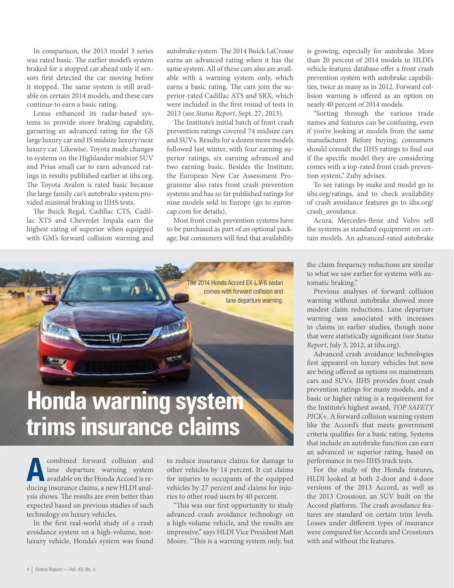In comparison, the 2013 model 3 series was rated basic. The earlier model's system braked for a stopped car ahead only if sensors first detected the car moving before it stopped. The same system is still available on certain 2014 models, and these cars continue to earn a basic rating.

Lexus enhanced its radar-based systems to provide more braking capability, garnering an advanced rating for the GS large luxury car and IS midsize luxury/near luxury car. Likewise, Toyota made changes to systems on the Highlander midsize SUV and Prius small car to earn advanced ratings in results published earlier at iihs.org. The Toyota Avalon is rated basic because the large family car's autobrake system provided minimal braking in IIHS tests.

The Buick Regal, Cadillac CTS, Cadillac XTS and Chevrolet Impala earn the highest rating of superior when equipped with GM's forward collision warning and autobrake system. The 2014 Buick LaCrosse earns an advanced rating when it has the same system. All of these cars also are available with a warning system only, which earns a basic rating. The cars join the superior-rated Cadillac ATS and SRX, which were included in the first round of tests in 2013 (see *Status Report*, Sept. 27, 2013).

The Institute's initial batch of front crash prevention ratings covered 74 midsize cars and SUVs. Results for a dozen more models followed last winter, with four earning superior ratings, six earning advanced and two earning basic. Besides the Institute, the European New Car Assessment Programme also rates front crash prevention systems and has so far published ratings for nine models sold in Europe (go to euroncap.com for details).

Most front crash prevention systems have to be purchased as part of an optional package, but consumers will find that availability



# **Honda warning system trims insurance claims**

Franchise Combined forward collision and<br>and lane departure warning system<br>available on the Honda Accord is relane departure warning system available on the Honda Accord is reducing insurance claims, a new HLDI analysis shows. The results are even better than expected based on previous studies of such technology on luxury vehicles.

In the first real-world study of a crash avoidance system on a high-volume, nonluxury vehicle, Honda's system was found

to reduce insurance claims for damage to other vehicles by 14 percent. It cut claims for injuries to occupants of the equipped vehicles by 27 percent and claims for injuries to other road users by 40 percent.

"This was our first opportunity to study advanced crash avoidance technology on a high-volume vehicle, and the results are impressive," says HLDI Vice President Matt Moore. "This is a warning system only, but

is growing, especially for autobrake. More than 20 percent of 2014 models in HLDI's vehicle features database offer a front crash prevention system with autobrake capabilities, twice as many as in 2012. Forward collision warning is offered as an option on nearly 40 percent of 2014 models.

"Sorting through the various trade names and features can be confusing, even if you're looking at models from the same manufacturer. Before buying, consumers should consult the IIHS ratings to find out if the specific model they are considering comes with a top-rated front crash prevention system," Zuby advises.

To see ratings by make and model go to iihs.org/ratings, and to check availability of crash avoidance features go to iihs.org/ crash\_avoidance.

Acura, Mercedes-Benz and Volvo sell the systems as standard equipment on certain models. An advanced-rated autobrake

the claim frequency reductions are similar to what we saw earlier for systems with automatic braking."

Previous analyses of forward collision warning without autobrake showed more modest claim reductions. Lane departure warning was associated with increases in claims in earlier studies, though none that were statistically significant (see *Status Report*, July 3, 2012, at iihs.org).

Advanced crash avoidance technologies first appeared on luxury vehicles but now are being offered as options on mainstream cars and SUVs. IIHS provides front crash prevention ratings for many models, and a basic or higher rating is a requirement for the Institute's highest award, *TOP SAFETY PICK*+. A forward collision warning system like the Accord's that meets government criteria qualifies for a basic rating. Systems that include an autobrake function can earn an advanced or superior rating, based on performance in two IIHS track tests.

For the study of the Honda features, HLDI looked at both 2-door and 4-door versions of the 2013 Accord, as well as the 2013 Crosstour, an SUV built on the Accord platform. The crash avoidance features are standard on certain trim levels. Losses under different types of insurance were compared for Accords and Crosstours with and without the features.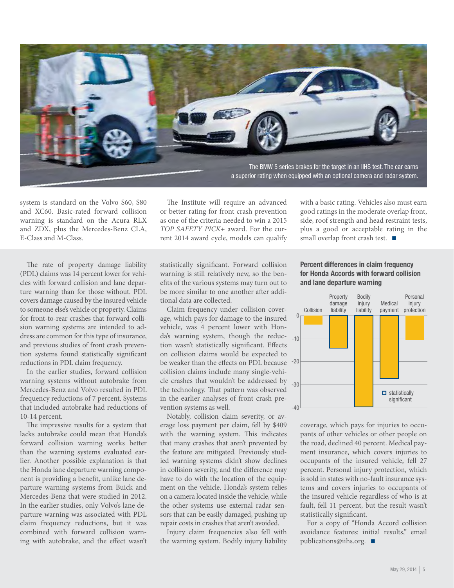

system is standard on the Volvo S60, S80 and XC60. Basic-rated forward collision warning is standard on the Acura RLX and ZDX, plus the Mercedes-Benz CLA, E-Class and M-Class.

The Institute will require an advanced or better rating for front crash prevention as one of the criteria needed to win a 2015 *TOP SAFETY PICK*+ award. For the current 2014 award cycle, models can qualify

The rate of property damage liability (PDL) claims was 14 percent lower for vehicles with forward collision and lane departure warning than for those without. PDL covers damage caused by the insured vehicle to someone else's vehicle or property. Claims for front-to-rear crashes that forward collision warning systems are intended to address are common for this type of insurance, and previous studies of front crash prevention systems found statistically significant reductions in PDL claim frequency.

In the earlier studies, forward collision warning systems without autobrake from Mercedes-Benz and Volvo resulted in PDL frequency reductions of 7 percent. Systems that included autobrake had reductions of 10-14 percent.

The impressive results for a system that lacks autobrake could mean that Honda's forward collision warning works better than the warning systems evaluated earlier. Another possible explanation is that the Honda lane departure warning component is providing a benefit, unlike lane departure warning systems from Buick and Mercedes-Benz that were studied in 2012. In the earlier studies, only Volvo's lane departure warning was associated with PDL claim frequency reductions, but it was combined with forward collision warning with autobrake, and the effect wasn't

statistically significant. Forward collision warning is still relatively new, so the benefits of the various systems may turn out to be more similar to one another after additional data are collected.

be weaker than the effects on PDL because -20 da's warning system, though the reduc-<sub>-10</sub> Claim frequency under collision coverage, which pays for damage to the insured vehicle, was 4 percent lower with Hontion wasn't statistically significant. Effects on collision claims would be expected to collision claims include many single-vehicle crashes that wouldn't be addressed by the technology. That pattern was observed in the earlier analyses of front crash prevention systems as well.

Notably, collision claim severity, or average loss payment per claim, fell by \$409 with the warning system. This indicates that many crashes that aren't prevented by the feature are mitigated. Previously studied warning systems didn't show declines in collision severity, and the difference may have to do with the location of the equipment on the vehicle. Honda's system relies on a camera located inside the vehicle, while the other systems use external radar sensors that can be easily damaged, pushing up repair costs in crashes that aren't avoided.

Injury claim frequencies also fell with the warning system. Bodily injury liability

#### good ratings in the moderate overlap front, side, roof strength and head restraint tests, plus a good or acceptable rating in the small overlap front crash test.  $\blacksquare$

with a basic rating. Vehicles also must earn

#### Percent differences in claim frequency for Honda Accords with forward collision and lane departure warning



coverage, which pays for injuries to occupants of other vehicles or other people on the road, declined 40 percent. Medical payment insurance, which covers injuries to occupants of the insured vehicle, fell 27 percent. Personal injury protection, which is sold in states with no-fault insurance systems and covers injuries to occupants of the insured vehicle regardless of who is at fault, fell 11 percent, but the result wasn't statistically significant.

For a copy of "Honda Accord collision avoidance features: initial results," email publications@iihs.org.  $\blacksquare$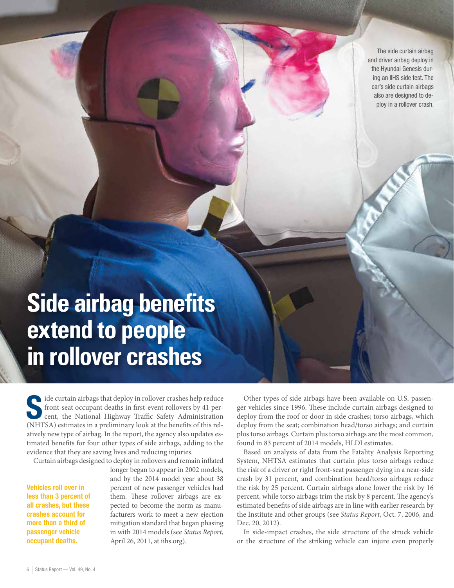The side curtain airbag and driver airbag deploy in the Hyundai Genesis during an IIHS side test. The car's side curtain airbags also are designed to deploy in a rollover crash.

## **Side airbag benefits extend to people in rollover crashes**

side curtain airbags that deploy in rollover crashes help reduce front-seat occupant deaths in first-event rollovers by 41 percent, the National Highway Traffic Safety Administration (NHTSA) estimates in a preliminary look at the benefits of this relatively new type of airbag. In the report, the agency also updates estimated benefits for four other types of side airbags, adding to the evidence that they are saving lives and reducing injuries.

Curtain airbags designed to deploy in rollovers and remain inflated

Vehicles roll over in less than 3 percent of all crashes, but these crashes account for more than a third of passenger vehicle occupant deaths.

longer began to appear in 2002 models, and by the 2014 model year about 38 percent of new passenger vehicles had them. These rollover airbags are expected to become the norm as manufacturers work to meet a new ejection mitigation standard that began phasing in with 2014 models (see *Status Report*, April 26, 2011, at iihs.org).

Other types of side airbags have been available on U.S. passenger vehicles since 1996. These include curtain airbags designed to deploy from the roof or door in side crashes; torso airbags, which deploy from the seat; combination head/torso airbags; and curtain plus torso airbags. Curtain plus torso airbags are the most common, found in 83 percent of 2014 models, HLDI estimates.

Based on analysis of data from the Fatality Analysis Reporting System, NHTSA estimates that curtain plus torso airbags reduce the risk of a driver or right front-seat passenger dying in a near-side crash by 31 percent, and combination head/torso airbags reduce the risk by 25 percent. Curtain airbags alone lower the risk by 16 percent, while torso airbags trim the risk by 8 percent. The agency's estimated benefits of side airbags are in line with earlier research by the Institute and other groups (see *Status Report*, Oct. 7, 2006, and Dec. 20, 2012).

In side-impact crashes, the side structure of the struck vehicle or the structure of the striking vehicle can injure even properly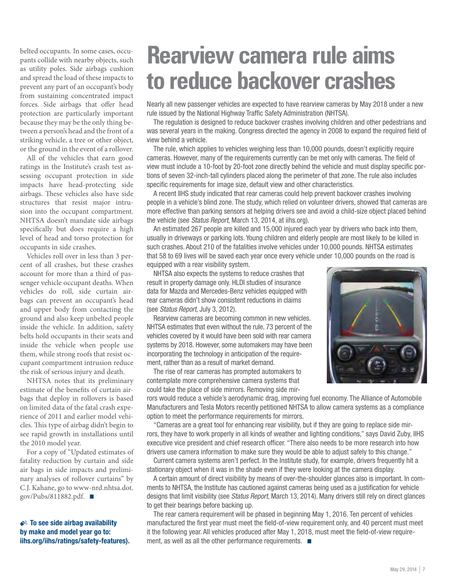belted occupants. In some cases, occupants collide with nearby objects, such as utility poles. Side airbags cushion and spread the load of these impacts to prevent any part of an occupant's body from sustaining concentrated impact forces. Side airbags that offer head protection are particularly important because they may be the only thing between a person's head and the front of a striking vehicle, a tree or other object, or the ground in the event of a rollover.

All of the vehicles that earn good ratings in the Institute's crash test assessing occupant protection in side impacts have head-protecting side airbags. These vehicles also have side structures that resist major intrusion into the occupant compartment. NHTSA doesn't mandate side airbags specifically but does require a high level of head and torso protection for occupants in side crashes.

Vehicles roll over in less than 3 percent of all crashes, but these crashes account for more than a third of passenger vehicle occupant deaths. When vehicles do roll, side curtain airbags can prevent an occupant's head and upper body from contacting the ground and also keep unbelted people inside the vehicle. In addition, safety belts hold occupants in their seats and inside the vehicle when people use them, while strong roofs that resist occupant compartment intrusion reduce the risk of serious injury and death.

NHTSA notes that its preliminary estimate of the benefits of curtain airbags that deploy in rollovers is based on limited data of the fatal crash experience of 2011 and earlier model vehicles. This type of airbag didn't begin to see rapid growth in installations until the 2010 model year.

For a copy of "Updated estimates of fatality reduction by curtain and side air bags in side impacts and preliminary analyses of rollover curtains" by C.J. Kahane, go to www-nrd.nhtsa.dot. gov/Pubs/811882.pdf.  $\blacksquare$ 

 $\clubsuit$ <sup>2</sup> To see side airbag availability by make and model year go to: iihs.org/iihs/ratings/safety-features).

### **Rearview camera rule aims to reduce backover crashes**

Nearly all new passenger vehicles are expected to have rearview cameras by May 2018 under a new rule issued by the National Highway Traffic Safety Administration (NHTSA).

The regulation is designed to reduce backover crashes involving children and other pedestrians and was several years in the making. Congress directed the agency in 2008 to expand the required field of view behind a vehicle.

The rule, which applies to vehicles weighing less than 10,000 pounds, doesn't explicitly require cameras. However, many of the requirements currently can be met only with cameras. The field of view must include a 10-foot by 20-foot zone directly behind the vehicle and must display specific portions of seven 32-inch-tall cylinders placed along the perimeter of that zone. The rule also includes specific requirements for image size, default view and other characteristics.

A recent IIHS study indicated that rear cameras could help prevent backover crashes involving people in a vehicle's blind zone. The study, which relied on volunteer drivers, showed that cameras are more effective than parking sensors at helping drivers see and avoid a child-size object placed behind the vehicle (see Status Report, March 13, 2014, at iihs.org).

An estimated 267 people are killed and 15,000 injured each year by drivers who back into them, usually in driveways or parking lots. Young children and elderly people are most likely to be killed in such crashes. About 210 of the fatalities involve vehicles under 10,000 pounds. NHTSA estimates that 58 to 69 lives will be saved each year once every vehicle under 10,000 pounds on the road is equipped with a rear visibility system.

NHTSA also expects the systems to reduce crashes that result in property damage only. HLDI studies of insurance data for Mazda and Mercedes-Benz vehicles equipped with rear cameras didn't show consistent reductions in claims (see Status Report, July 3, 2012).

Rearview cameras are becoming common in new vehicles. NHTSA estimates that even without the rule, 73 percent of the vehicles covered by it would have been sold with rear camera systems by 2018. However, some automakers may have been incorporating the technology in anticipation of the requirement, rather than as a result of market demand.

The rise of rear cameras has prompted automakers to contemplate more comprehensive camera systems that could take the place of side mirrors. Removing side mir-



rors would reduce a vehicle's aerodynamic drag, improving fuel economy. The Alliance of Automobile Manufacturers and Tesla Motors recently petitioned NHTSA to allow camera systems as a compliance option to meet the performance requirements for mirrors.

"Cameras are a great tool for enhancing rear visibility, but if they are going to replace side mirrors, they have to work properly in all kinds of weather and lighting conditions," says David Zuby, IIHS executive vice president and chief research officer. "There also needs to be more research into how drivers use camera information to make sure they would be able to adjust safely to this change."

Current camera systems aren't perfect. In the Institute study, for example, drivers frequently hit a stationary object when it was in the shade even if they were looking at the camera display.

A certain amount of direct visibility by means of over-the-shoulder glances also is important. In comments to NHTSA, the Institute has cautioned against cameras being used as a justification for vehicle designs that limit visibility (see Status Report, March 13, 2014). Many drivers still rely on direct glances to get their bearings before backing up.

The rear camera requirement will be phased in beginning May 1, 2016. Ten percent of vehicles manufactured the first year must meet the field-of-view requirement only, and 40 percent must meet it the following year. All vehicles produced after May 1, 2018, must meet the field-of-view requirement, as well as all the other performance requirements.  $\blacksquare$